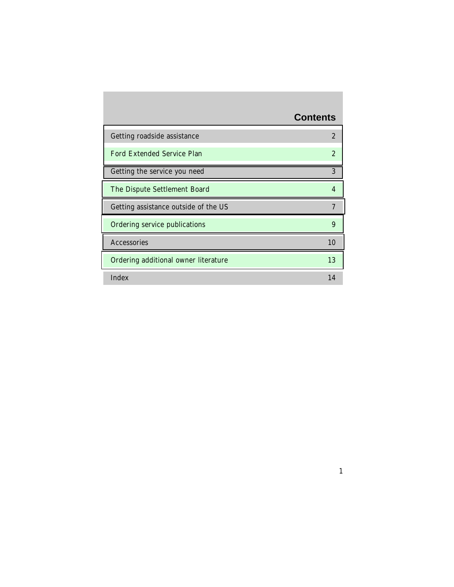# **Contents**

| Getting roadside assistance          | $\overline{2}$ |
|--------------------------------------|----------------|
| Ford Extended Service Plan           | $\overline{2}$ |
| Getting the service you need         | 3              |
| The Dispute Settlement Board         | $\overline{4}$ |
| Getting assistance outside of the US | 7              |
| Ordering service publications        | 9              |
| Accessories                          | 10             |
| Ordering additional owner literature | 13             |
| Index                                | 14             |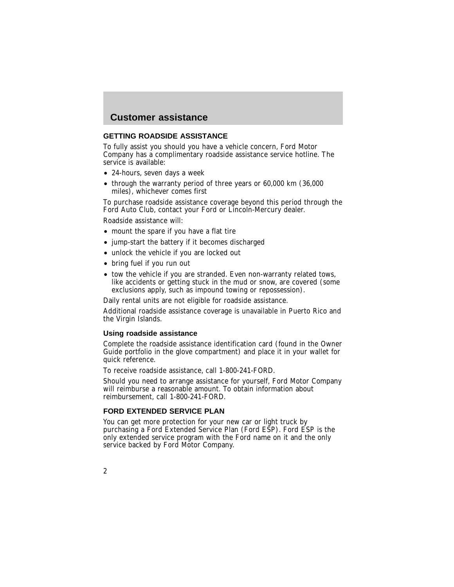### <span id="page-1-0"></span>**GETTING ROADSIDE ASSISTANCE**

To fully assist you should you have a vehicle concern, Ford Motor Company has a complimentary roadside assistance service hotline. The service is available:

- 24-hours, seven days a week
- through the warranty period of three years or 60,000 km (36,000 miles), whichever comes first

To purchase roadside assistance coverage beyond this period through the Ford Auto Club, contact your Ford or Lincoln-Mercury dealer.

Roadside assistance will:

- mount the spare if you have a flat tire
- jump-start the battery if it becomes discharged
- unlock the vehicle if you are locked out
- bring fuel if you run out
- tow the vehicle if you are stranded. Even non-warranty related tows, like accidents or getting stuck in the mud or snow, are covered (some exclusions apply, such as impound towing or repossession).

Daily rental units are not eligible for roadside assistance.

Additional roadside assistance coverage is unavailable in Puerto Rico and the Virgin Islands.

#### **Using roadside assistance**

Complete the roadside assistance identification card (found in the Owner Guide portfolio in the glove compartment) and place it in your wallet for quick reference.

To receive roadside assistance, call 1-800-241-FORD.

Should you need to arrange assistance for yourself, Ford Motor Company will reimburse a reasonable amount. To obtain information about reimbursement, call 1-800-241-FORD.

#### **FORD EXTENDED SERVICE PLAN**

You can get more protection for your new car or light truck by purchasing a Ford Extended Service Plan (Ford ESP). Ford ESP is the only extended service program with the Ford name on it and the only service backed by Ford Motor Company.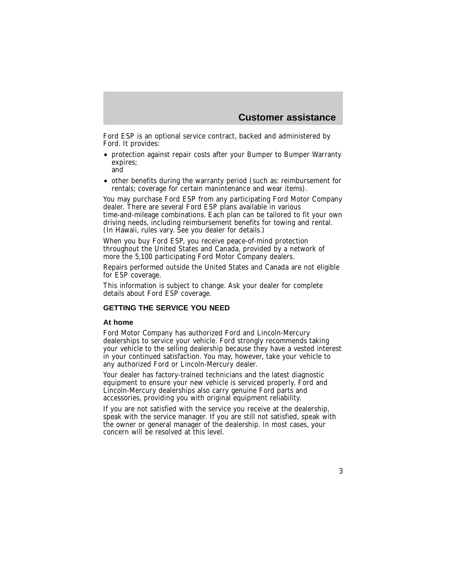3

<span id="page-2-0"></span>Ford ESP is an optional service contract, backed and administered by Ford. It provides:

- protection against repair costs after your Bumper to Bumper Warranty expires; and
- other benefits during the warranty period (such as: reimbursement for rentals; coverage for certain manintenance and wear items).

You may purchase Ford ESP from any participating Ford Motor Company dealer. There are several Ford ESP plans available in various time-and-mileage combinations. Each plan can be tailored to fit your own driving needs, including reimbursement benefits for towing and rental. (In Hawaii, rules vary. See you dealer for details.)

When you buy Ford ESP, you receive peace-of-mind protection throughout the United States and Canada, provided by a network of more the 5,100 participating Ford Motor Company dealers.

Repairs performed outside the United States and Canada are not eligible for ESP coverage.

This information is subject to change. Ask your dealer for complete details about Ford ESP coverage.

### **GETTING THE SERVICE YOU NEED**

### **At home**

Ford Motor Company has authorized Ford and Lincoln-Mercury dealerships to service your vehicle. Ford strongly recommends taking your vehicle to the selling dealership because they have a vested interest in your continued satisfaction. You may, however, take your vehicle to any authorized Ford or Lincoln-Mercury dealer.

Your dealer has factory-trained technicians and the latest diagnostic equipment to ensure your new vehicle is serviced properly. Ford and Lincoln-Mercury dealerships also carry genuine Ford parts and accessories, providing you with original equipment reliability.

If you are not satisfied with the service you receive at the dealership, speak with the service manager. If you are still not satisfied, speak with the owner or general manager of the dealership. In most cases, your concern will be resolved at this level.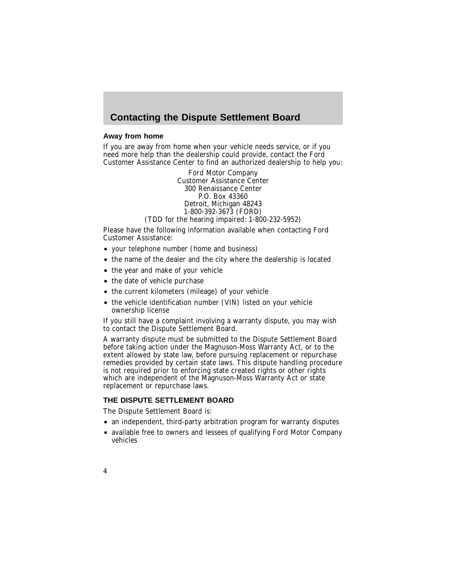## <span id="page-3-0"></span>**Contacting the Dispute Settlement Board**

### **Away from home**

If you are away from home when your vehicle needs service, or if you need more help than the dealership could provide, contact the Ford Customer Assistance Center to find an authorized dealership to help you:

> Ford Motor Company Customer Assistance Center 300 Renaissance Center P.O. Box 43360 Detroit, Michigan 48243 1-800-392-3673 (FORD)

(TDD for the hearing impaired: 1-800-232-5952)

Please have the following information available when contacting Ford Customer Assistance:

- your telephone number (home and business)
- the name of the dealer and the city where the dealership is located
- the year and make of your vehicle
- the date of vehicle purchase
- the current kilometers (mileage) of your vehicle
- the vehicle identification number (VIN) listed on your vehicle ownership license

If you still have a complaint involving a warranty dispute, you may wish to contact the Dispute Settlement Board.

A warranty dispute must be submitted to the Dispute Settlement Board before taking action under the Magnuson-Moss Warranty Act, or to the extent allowed by state law, before pursuing replacement or repurchase remedies provided by certain state laws. This dispute handling procedure is not required prior to enforcing state created rights or other rights which are independent of the Magnuson-Moss Warranty Act or state replacement or repurchase laws.

### **THE DISPUTE SETTLEMENT BOARD**

The Dispute Settlement Board is:

- an independent, third-party arbitration program for warranty disputes
- available free to owners and lessees of qualifying Ford Motor Company vehicles
- 4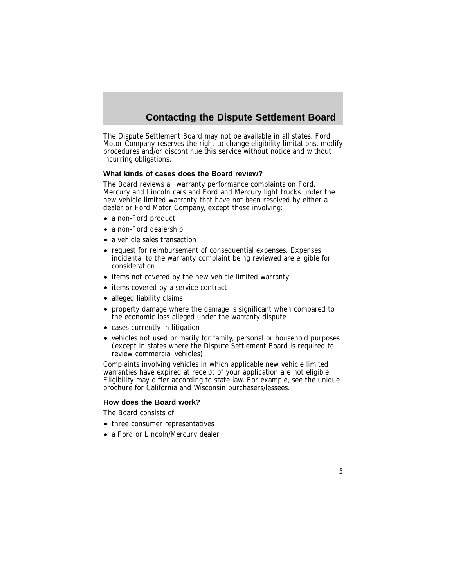# **Contacting the Dispute Settlement Board**

The Dispute Settlement Board may not be available in all states. Ford Motor Company reserves the right to change eligibility limitations, modify procedures and/or discontinue this service without notice and without incurring obligations.

#### **What kinds of cases does the Board review?**

The Board reviews all warranty performance complaints on Ford, Mercury and Lincoln cars and Ford and Mercury light trucks under the new vehicle limited warranty that have not been resolved by either a dealer or Ford Motor Company, except those involving:

- a non-Ford product
- a non-Ford dealership
- a vehicle sales transaction
- request for reimbursement of consequential expenses. Expenses incidental to the warranty complaint being reviewed are eligible for consideration
- items not covered by the new vehicle limited warranty
- items covered by a service contract
- alleged liability claims
- property damage where the damage is significant when compared to the economic loss alleged under the warranty dispute
- cases currently in litigation
- vehicles not used primarily for family, personal or household purposes (except in states where the Dispute Settlement Board is required to review commercial vehicles)

Complaints involving vehicles in which applicable new vehicle limited warranties have expired at receipt of your application are not eligible. Eligibility may differ according to state law. For example, see the unique brochure for California and Wisconsin purchasers/lessees.

### **How does the Board work?**

The Board consists of:

- three consumer representatives
- a Ford or Lincoln/Mercury dealer

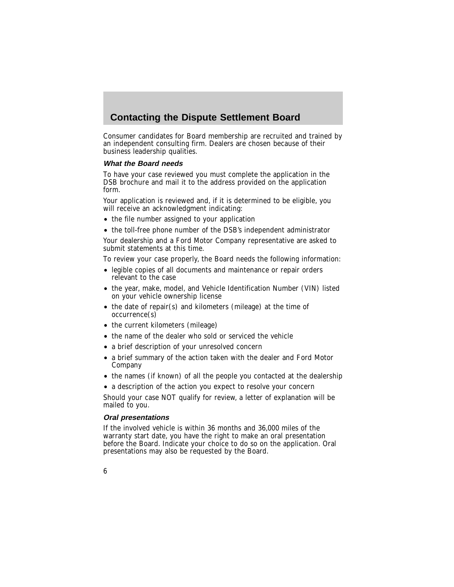## **Contacting the Dispute Settlement Board**

Consumer candidates for Board membership are recruited and trained by an independent consulting firm. Dealers are chosen because of their business leadership qualities.

### **What the Board needs**

To have your case reviewed you must complete the application in the DSB brochure and mail it to the address provided on the application form.

Your application is reviewed and, if it is determined to be eligible, you will receive an acknowledgment indicating:

- the file number assigned to your application
- the toll-free phone number of the DSB's independent administrator

Your dealership and a Ford Motor Company representative are asked to submit statements at this time.

To review your case properly, the Board needs the following information:

- legible copies of all documents and maintenance or repair orders relevant to the case
- the year, make, model, and Vehicle Identification Number (VIN) listed on your vehicle ownership license
- the date of repair(s) and kilometers (mileage) at the time of occurrence(s)
- the current kilometers (mileage)
- the name of the dealer who sold or serviced the vehicle
- a brief description of your unresolved concern
- a brief summary of the action taken with the dealer and Ford Motor Company
- the names (if known) of all the people you contacted at the dealership
- a description of the action you expect to resolve your concern

Should your case NOT qualify for review, a letter of explanation will be mailed to you.

### **Oral presentations**

If the involved vehicle is within 36 months and 36,000 miles of the warranty start date, you have the right to make an oral presentation before the Board. Indicate your choice to do so on the application. Oral presentations may also be requested by the Board.

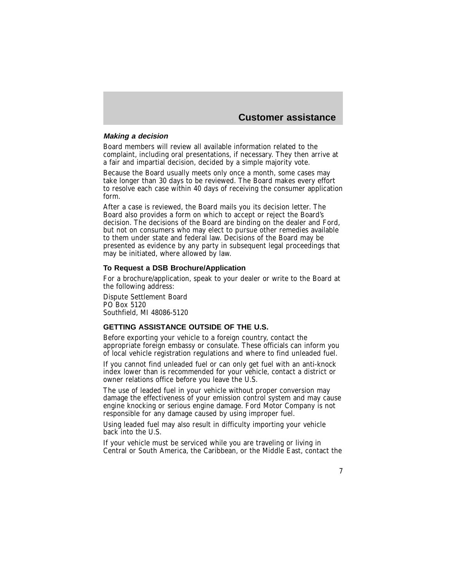### <span id="page-6-0"></span>**Making <sup>a</sup> decision**

Board members will review all available information related to the complaint, including oral presentations, if necessary. They then arrive at a fair and impartial decision, decided by a simple majority vote.

Because the Board usually meets only once a month, some cases may take longer than 30 days to be reviewed. The Board makes every effort to resolve each case within 40 days of receiving the consumer application form.

After a case is reviewed, the Board mails you its decision letter. The Board also provides a form on which to accept or reject the Board's decision. The decisions of the Board are binding on the dealer and Ford, but not on consumers who may elect to pursue other remedies available to them under state and federal law. Decisions of the Board may be presented as evidence by any party in subsequent legal proceedings that may be initiated, where allowed by law.

### **To Request a DSB Brochure/Application**

For a brochure/application, speak to your dealer or write to the Board at the following address:

Dispute Settlement Board PO Box 5120 Southfield, MI 48086-5120

### **GETTING ASSISTANCE OUTSIDE OF THE U.S.**

Before exporting your vehicle to a foreign country, contact the appropriate foreign embassy or consulate. These officials can inform you of local vehicle registration regulations and where to find unleaded fuel.

If you cannot find unleaded fuel or can only get fuel with an anti-knock index lower than is recommended for your vehicle, contact a district or owner relations office before you leave the U.S.

The use of leaded fuel in your vehicle without proper conversion may damage the effectiveness of your emission control system and may cause engine knocking or serious engine damage. Ford Motor Company is not responsible for any damage caused by using improper fuel.

Using leaded fuel may also result in difficulty importing your vehicle back into the U.S.

If your vehicle must be serviced while you are traveling or living in Central or South America, the Caribbean, or the Middle East, contact the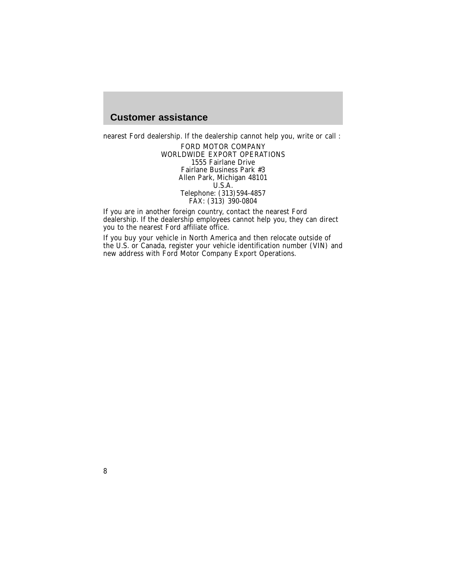nearest Ford dealership. If the dealership cannot help you, write or call :

FORD MOTOR COMPANY WORLDWIDE EXPORT OPERATIONS 1555 Fairlane Drive Fairlane Business Park #3 Allen Park, Michigan 48101 U.S.A. Telephone: (313)594-4857  $FAX: (313) 390-0804$ 

If you are in another foreign country, contact the nearest Ford dealership. If the dealership employees cannot help you, they can direct you to the nearest Ford affiliate office.

If you buy your vehicle in North America and then relocate outside of the U.S. or Canada, register your vehicle identification number (VIN) and new address with Ford Motor Company Export Operations.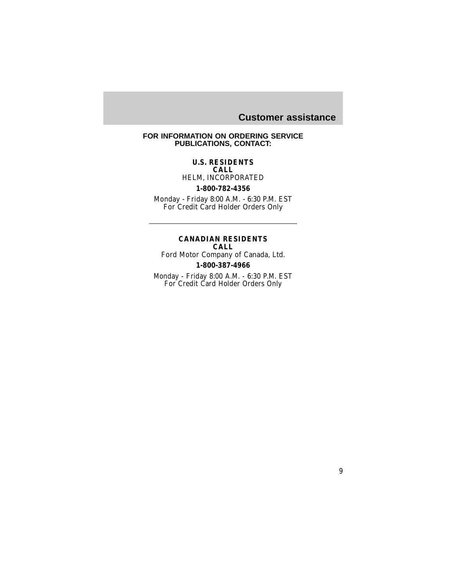### <span id="page-8-0"></span>**FOR INFORMATION ON ORDERING SERVICE PUBLICATIONS, CONTACT:**

#### **U.S. RESIDENTS CALL**

HELM, INCORPORATED

### **1-800-782-4356**

Monday - Friday 8:00 A.M. - 6:30 P.M. EST For Credit Card Holder Orders Only

### **CANADIAN RESIDENTS CALL**

Ford Motor Company of Canada, Ltd. **1-800-387-4966**

Monday - Friday 8:00 A.M. - 6:30 P.M. EST For Credit Card Holder Orders Only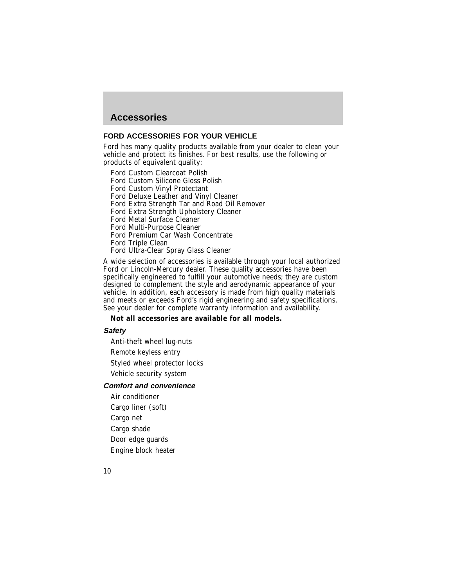### <span id="page-9-0"></span>**Accessories**

### **FORD ACCESSORIES FOR YOUR VEHICLE**

Ford has many quality products available from your dealer to clean your vehicle and protect its finishes. For best results, use the following or products of equivalent quality:

Ford Custom Clearcoat Polish

Ford Custom Silicone Gloss Polish

Ford Custom Vinyl Protectant

Ford Deluxe Leather and Vinyl Cleaner

Ford Extra Strength Tar and Road Oil Remover

Ford Extra Strength Upholstery Cleaner

Ford Metal Surface Cleaner

Ford Multi-Purpose Cleaner

Ford Premium Car Wash Concentrate

Ford Triple Clean

Ford Ultra-Clear Spray Glass Cleaner

A wide selection of accessories is available through your local authorized Ford or Lincoln-Mercury dealer. These quality accessories have been specifically engineered to fulfill your automotive needs; they are custom designed to complement the style and aerodynamic appearance of your vehicle. In addition, each accessory is made from high quality materials and meets or exceeds Ford's rigid engineering and safety specifications. See your dealer for complete warranty information and availability.

#### **Not all accessories are available for all models.**

### **Safety**

Anti-theft wheel lug-nuts

Remote keyless entry

Styled wheel protector locks

Vehicle security system

### **Comfort and convenience**

Air conditioner Cargo liner (soft) Cargo net Cargo shade Door edge guards Engine block heater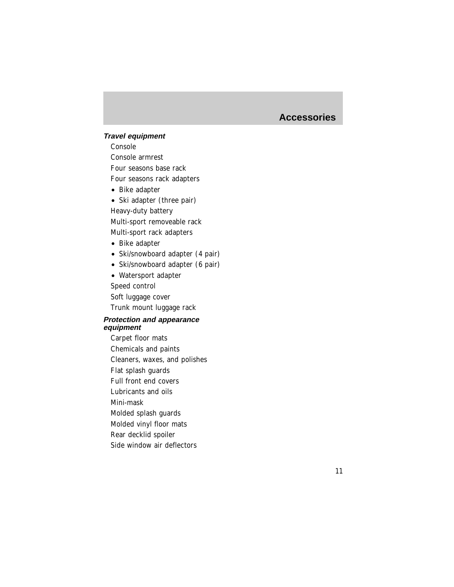### **Accessories**

### **Travel equipment**

Console Console armrest Four seasons base rack Four seasons rack adapters

• Bike adapter

• Ski adapter (three pair) Heavy-duty battery Multi-sport removeable rack Multi-sport rack adapters

- Bike adapter
- Ski/snowboard adapter (4 pair)
- Ski/snowboard adapter (6 pair)

• Watersport adapter Speed control Soft luggage cover Trunk mount luggage rack

### **Protection and appearance equipment**

Carpet floor mats Chemicals and paints Cleaners, waxes, and polishes Flat splash guards Full front end covers Lubricants and oils Mini-mask Molded splash guards Molded vinyl floor mats Rear decklid spoiler Side window air deflectors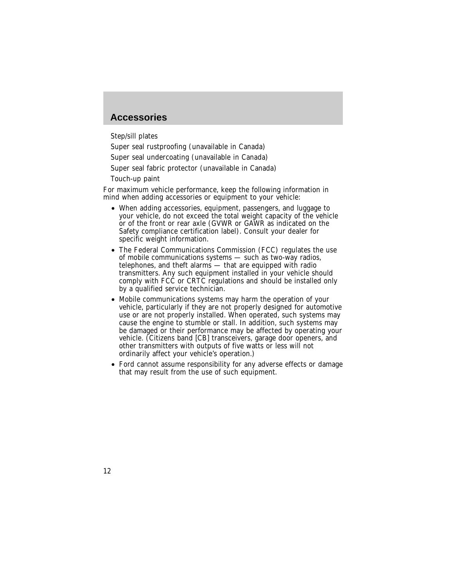### **Accessories**

Step/sill plates

Super seal rustproofing (unavailable in Canada)

Super seal undercoating (unavailable in Canada)

Super seal fabric protector (unavailable in Canada)

Touch-up paint

For maximum vehicle performance, keep the following information in mind when adding accessories or equipment to your vehicle:

- When adding accessories, equipment, passengers, and luggage to your vehicle, do not exceed the total weight capacity of the vehicle or of the front or rear axle (GVWR or GAWR as indicated on the Safety compliance certification label). Consult your dealer for specific weight information.
- The Federal Communications Commission (FCC) regulates the use of mobile communications systems — such as two-way radios, telephones, and theft alarms  $-$  that are equipped with radio transmitters. Any such equipment installed in your vehicle should comply with FCC or CRTC regulations and should be installed only by a qualified service technician.
- Mobile communications systems may harm the operation of your vehicle, particularly if they are not properly designed for automotive use or are not properly installed. When operated, such systems may cause the engine to stumble or stall. In addition, such systems may be damaged or their performance may be affected by operating your vehicle. (Citizens band [CB] transceivers, garage door openers, and other transmitters with outputs of five watts or less will not ordinarily affect your vehicle's operation.)
- Ford cannot assume responsibility for any adverse effects or damage that may result from the use of such equipment.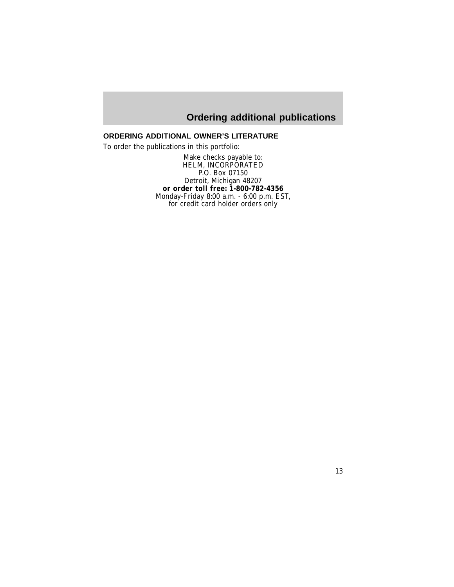# **Ordering additional publications**

### <span id="page-12-0"></span>**ORDERING ADDITIONAL OWNER'S LITERATURE**

To order the publications in this portfolio:

Make checks payable to: HELM, INCORPORATED P.O. Box 07150 Detroit, Michigan 48207 **or order toll free: 1-800-782-4356** Monday-Friday 8:00 a.m. - 6:00 p.m. EST, for credit card holder orders only